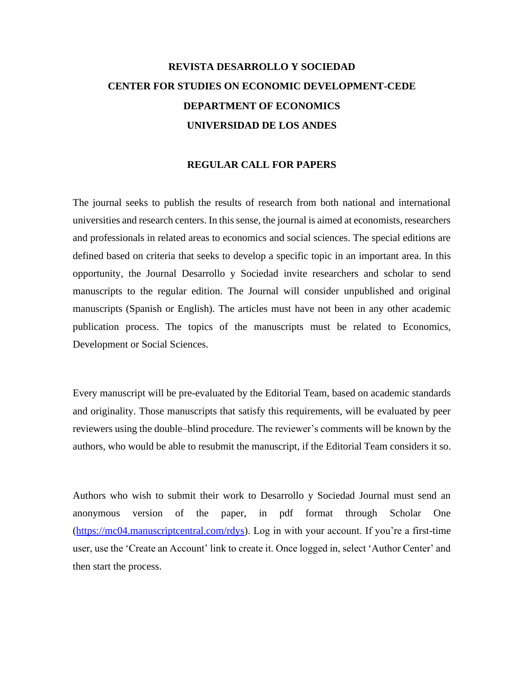## **REVISTA DESARROLLO Y SOCIEDAD CENTER FOR STUDIES ON ECONOMIC DEVELOPMENT-CEDE DEPARTMENT OF ECONOMICS UNIVERSIDAD DE LOS ANDES**

## **REGULAR CALL FOR PAPERS**

The journal seeks to publish the results of research from both national and international universities and research centers. In this sense, the journal is aimed at economists, researchers and professionals in related areas to economics and social sciences. The special editions are defined based on criteria that seeks to develop a specific topic in an important area. In this opportunity, the Journal Desarrollo y Sociedad invite researchers and scholar to send manuscripts to the regular edition. The Journal will consider unpublished and original manuscripts (Spanish or English). The articles must have not been in any other academic publication process. The topics of the manuscripts must be related to Economics, Development or Social Sciences.

Every manuscript will be pre-evaluated by the Editorial Team, based on academic standards and originality. Those manuscripts that satisfy this requirements, will be evaluated by peer reviewers using the double–blind procedure. The reviewer's comments will be known by the authors, who would be able to resubmit the manuscript, if the Editorial Team considers it so.

Authors who wish to submit their work to Desarrollo y Sociedad Journal must send an anonymous version of the paper, in pdf format through Scholar One [\(https://mc04.manuscriptcentral.com/rdys\)](https://mc04.manuscriptcentral.com/rdys). Log in with your account. If you're a first-time user, use the 'Create an Account' link to create it. Once logged in, select 'Author Center' and then start the process.